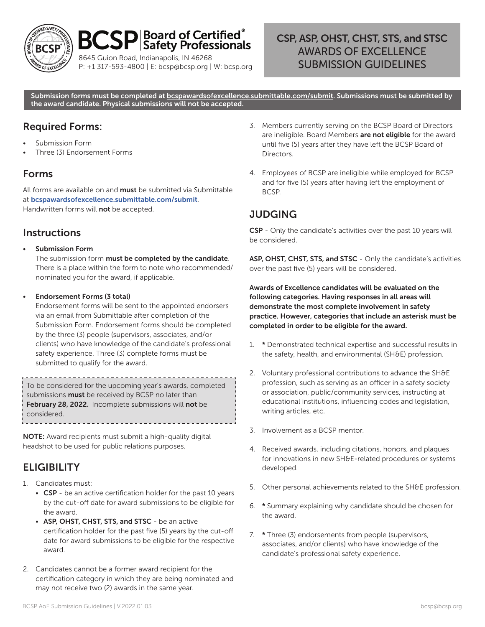

### $\mathbf{D}|\text{Board of Centified}^{\circ}|\text{Safety Professionals}|$ **BCSI**

8645 Guion Road, Indianapolis, IN 46268 P: +1 317-593-4800 | E: bcsp@bcsp.org | W: bcsp.org

## CSP, ASP, OHST, CHST, STS, and STSC AWARDS OF EXCELLENCE SUBMISSION GUIDELINES

Submission forms must be completed at <u>bcspawardsofexcellence.submittable.com/submit</u>. Submissions must be submitted by the award candidate. Physical submissions will not be accepted.

## Required Forms:

- Submission Form
- Three (3) Endorsement Forms

### Forms

All forms are available on and **must** be submitted via Submittable at [bcspawardsofexcellence.submittable.com/submit](http://bcspawardsofexcellence.submittable.com/submit). Handwritten forms will not be accepted.

### **Instructions**

• Submission Form

The submission form must be completed by the candidate. There is a place within the form to note who recommended/ nominated you for the award, if applicable.

### • Endorsement Forms (3 total)

Endorsement forms will be sent to the appointed endorsers via an email from Submittable after completion of the Submission Form. Endorsement forms should be completed by the three (3) people (supervisors, associates, and/or clients) who have knowledge of the candidate's professional safety experience. Three (3) complete forms must be submitted to qualify for the award.

To be considered for the upcoming year's awards, completed submissions **must** be received by BCSP no later than February 28, 2022. Incomplete submissions will not be considered.

NOTE: Award recipients must submit a high-quality digital headshot to be used for public relations purposes.

## **ELIGIBILITY**

- 1. Candidates must:
	- CSP be an active certification holder for the past 10 years by the cut-off date for award submissions to be eligible for the award.
	- ASP, OHST, CHST, STS, and STSC be an active certification holder for the past five (5) years by the cut-off date for award submissions to be eligible for the respective award.
- 2. Candidates cannot be a former award recipient for the certification category in which they are being nominated and may not receive two (2) awards in the same year.
- 3. Members currently serving on the BCSP Board of Directors are ineligible. Board Members are not eligible for the award until five (5) years after they have left the BCSP Board of Directors.
- 4. Employees of BCSP are ineligible while employed for BCSP and for five (5) years after having left the employment of BCSP.

# **JUDGING**

CSP - Only the candidate's activities over the past 10 years will be considered.

ASP, OHST, CHST, STS, and STSC - Only the candidate's activities over the past five (5) years will be considered.

Awards of Excellence candidates will be evaluated on the following categories. Having responses in all areas will demonstrate the most complete involvement in safety practice. However, categories that include an asterisk must be completed in order to be eligible for the award.

- 1. \* Demonstrated technical expertise and successful results in the safety, health, and environmental (SH&E) profession.
- 2. Voluntary professional contributions to advance the SH&E profession, such as serving as an officer in a safety society or association, public/community services, instructing at educational institutions, influencing codes and legislation, writing articles, etc.
- 3. Involvement as a BCSP mentor.
- 4. Received awards, including citations, honors, and plaques for innovations in new SH&E-related procedures or systems developed.
- 5. Other personal achievements related to the SH&E profession.
- 6. \* Summary explaining why candidate should be chosen for the award.
- 7. \* Three (3) endorsements from people (supervisors, associates, and/or clients) who have knowledge of the candidate's professional safety experience.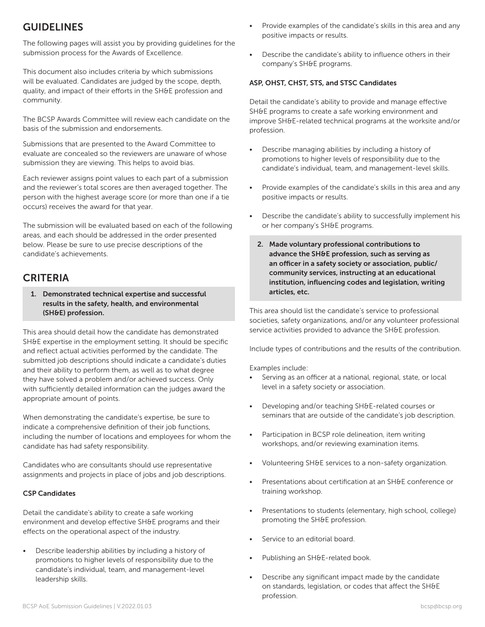## GUIDELINES

The following pages will assist you by providing guidelines for the submission process for the Awards of Excellence.

This document also includes criteria by which submissions will be evaluated. Candidates are judged by the scope, depth, quality, and impact of their efforts in the SH&E profession and community.

The BCSP Awards Committee will review each candidate on the basis of the submission and endorsements.

Submissions that are presented to the Award Committee to evaluate are concealed so the reviewers are unaware of whose submission they are viewing. This helps to avoid bias.

Each reviewer assigns point values to each part of a submission and the reviewer's total scores are then averaged together. The person with the highest average score (or more than one if a tie occurs) receives the award for that year.

The submission will be evaluated based on each of the following areas, and each should be addressed in the order presented below. Please be sure to use precise descriptions of the candidate's achievements.

### **CRITERIA**

1. Demonstrated technical expertise and successful results in the safety, health, and environmental (SH&E) profession.

This area should detail how the candidate has demonstrated SH&E expertise in the employment setting. It should be specific and reflect actual activities performed by the candidate. The submitted job descriptions should indicate a candidate's duties and their ability to perform them, as well as to what degree they have solved a problem and/or achieved success. Only with sufficiently detailed information can the judges award the appropriate amount of points.

When demonstrating the candidate's expertise, be sure to indicate a comprehensive definition of their job functions, including the number of locations and employees for whom the candidate has had safety responsibility.

Candidates who are consultants should use representative assignments and projects in place of jobs and job descriptions.

#### CSP Candidates

Detail the candidate's ability to create a safe working environment and develop effective SH&E programs and their effects on the operational aspect of the industry.

• Describe leadership abilities by including a history of promotions to higher levels of responsibility due to the candidate's individual, team, and management-level leadership skills.

- Provide examples of the candidate's skills in this area and any positive impacts or results.
- Describe the candidate's ability to influence others in their company's SH&E programs.

#### ASP, OHST, CHST, STS, and STSC Candidates

Detail the candidate's ability to provide and manage effective SH&E programs to create a safe working environment and improve SH&E-related technical programs at the worksite and/or profession.

- Describe managing abilities by including a history of promotions to higher levels of responsibility due to the candidate's individual, team, and management-level skills.
- Provide examples of the candidate's skills in this area and any positive impacts or results.
- Describe the candidate's ability to successfully implement his or her company's SH&E programs.
	- 2. Made voluntary professional contributions to advance the SH&E profession, such as serving as an officer in a safety society or association, public/ community services, instructing at an educational institution, influencing codes and legislation, writing articles, etc.

This area should list the candidate's service to professional societies, safety organizations, and/or any volunteer professional service activities provided to advance the SH&E profession.

Include types of contributions and the results of the contribution.

Examples include:

- Serving as an officer at a national, regional, state, or local level in a safety society or association.
- Developing and/or teaching SH&E-related courses or seminars that are outside of the candidate's job description.
- Participation in BCSP role delineation, item writing workshops, and/or reviewing examination items.
- Volunteering SH&E services to a non-safety organization.
- Presentations about certification at an SH&E conference or training workshop.
- Presentations to students (elementary, high school, college) promoting the SH&E profession.
- Service to an editorial board.
- Publishing an SH&E-related book.
- Describe any significant impact made by the candidate on standards, legislation, or codes that affect the SH&E profession.